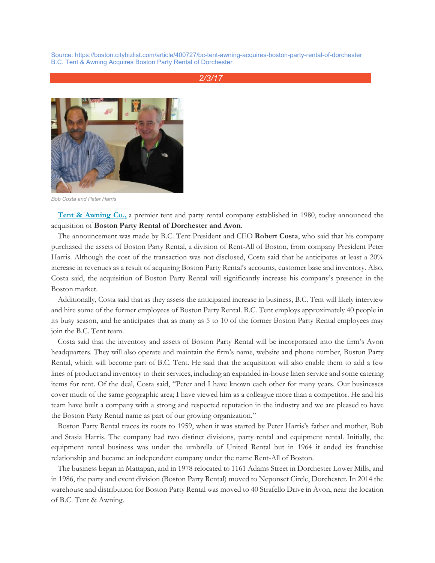Source: https://boston.citybizlist.com/article/400727/bc-tent-awning-acquires-boston-party-rental-of-dorchester B.C. Tent & Awning Acquires Boston Party Rental of Dorchester

## *2/3/17*



*Bob Costa and Peter Harris*

**[Tent & Awning Co.,](http://bctent.com/)** a premier tent and party rental company established in 1980, today announced the acquisition of **Boston Party Rental of Dorchester and Avon**.

The announcement was made by B.C. Tent President and CEO **Robert Costa**, who said that his company purchased the assets of Boston Party Rental, a division of Rent-All of Boston, from company President Peter Harris. Although the cost of the transaction was not disclosed, Costa said that he anticipates at least a 20% increase in revenues as a result of acquiring Boston Party Rental's accounts, customer base and inventory. Also, Costa said, the acquisition of Boston Party Rental will significantly increase his company's presence in the Boston market.

Additionally, Costa said that as they assess the anticipated increase in business, B.C. Tent will likely interview and hire some of the former employees of Boston Party Rental. B.C. Tent employs approximately 40 people in its busy season, and he anticipates that as many as 5 to 10 of the former Boston Party Rental employees may join the B.C. Tent team.

Costa said that the inventory and assets of Boston Party Rental will be incorporated into the firm's Avon headquarters. They will also operate and maintain the firm's name, website and phone number, Boston Party Rental, which will become part of B.C. Tent. He said that the acquisition will also enable them to add a few lines of product and inventory to their services, including an expanded in-house linen service and some catering items for rent. Of the deal, Costa said, "Peter and I have known each other for many years. Our businesses cover much of the same geographic area; I have viewed him as a colleague more than a competitor. He and his team have built a company with a strong and respected reputation in the industry and we are pleased to have the Boston Party Rental name as part of our growing organization."

Boston Party Rental traces its roots to 1959, when it was started by Peter Harris's father and mother, Bob and Stasia Harris. The company had two distinct divisions, party rental and equipment rental. Initially, the equipment rental business was under the umbrella of United Rental but in 1964 it ended its franchise relationship and became an independent company under the name Rent-All of Boston.

The business began in Mattapan, and in 1978 relocated to 1161 Adams Street in Dorchester Lower Mills, and in 1986, the party and event division (Boston Party Rental) moved to Neponset Circle, Dorchester. In 2014 the warehouse and distribution for Boston Party Rental was moved to 40 Strafello Drive in Avon, near the location of B.C. Tent & Awning.